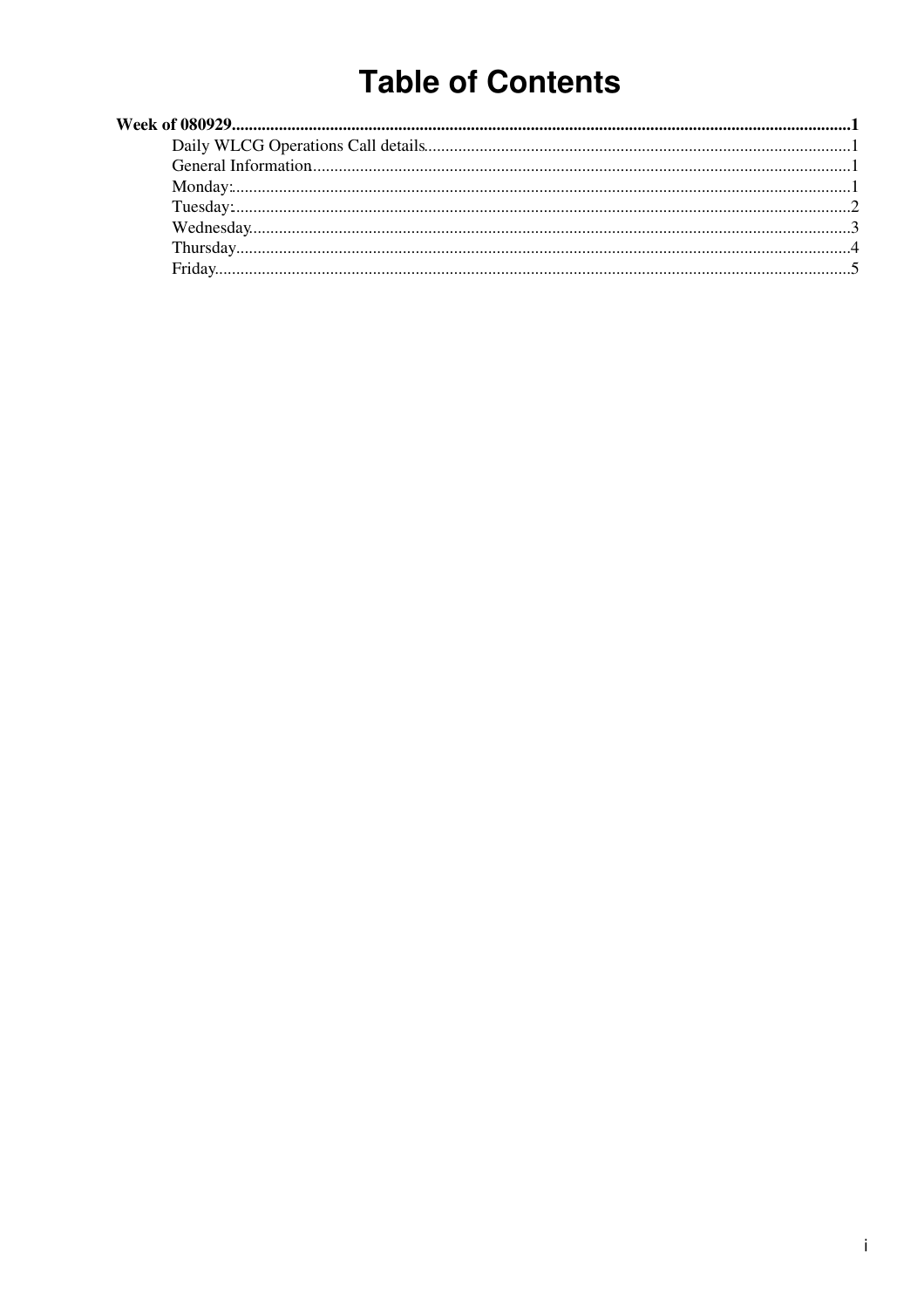# **Table of Contents**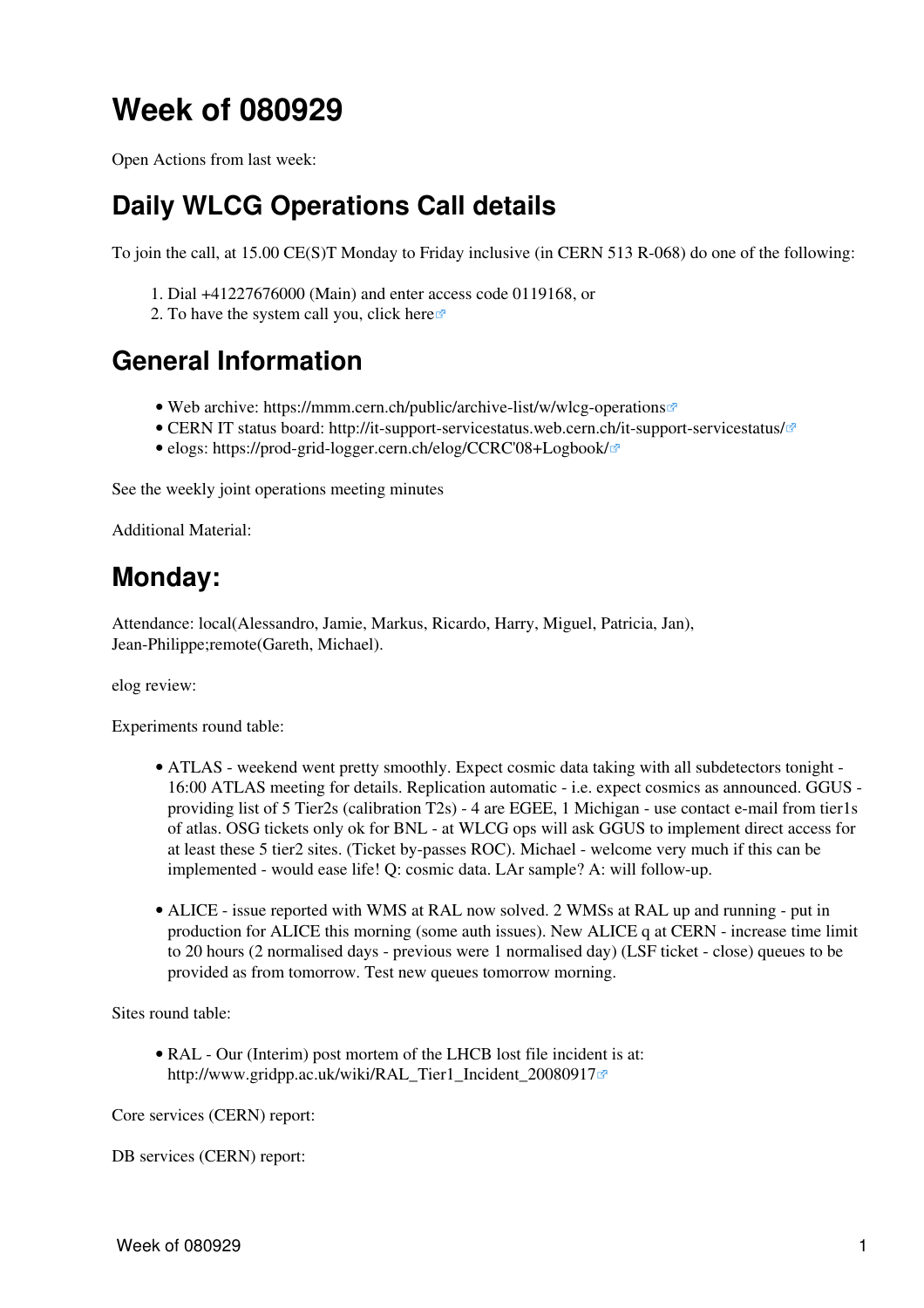# <span id="page-1-0"></span>**Week of 080929**

Open Actions from last week:

## <span id="page-1-1"></span>**Daily WLCG Operations Call details**

To join the call, at 15.00 CE(S)T Monday to Friday inclusive (in CERN 513 R-068) do one of the following:

- 1. Dial +41227676000 (Main) and enter access code 0119168, or
- 2. To have the system call you, click [here](https://audioconf.cern.ch/call/0119168) $\Phi$

### <span id="page-1-2"></span>**General Information**

- Web archive: <https://mmm.cern.ch/public/archive-list/w/wlcg-operations>
- CERN IT status board: <http://it-support-servicestatus.web.cern.ch/it-support-servicestatus/> $\mathbb{Z}$
- elogs: [https://prod-grid-logger.cern.ch/elog/CCRC'08+Logbook/](https://prod-grid-logger.cern.ch/elog/CCRC)

See the [weekly joint operations meeting minutes](https://twiki.cern.ch/twiki/bin/view/EGEE/WlcgOsgEgeeOpsMeetingMinutes)

Additional Material:

### <span id="page-1-3"></span>**Monday:**

Attendance: local(Alessandro, Jamie, Markus, Ricardo, Harry, Miguel, Patricia, Jan), Jean-Philippe;remote(Gareth, Michael).

elog review:

Experiments round table:

- ATLAS weekend went pretty smoothly. Expect cosmic data taking with all subdetectors tonight • 16:00 ATLAS meeting for details. Replication automatic - i.e. expect cosmics as announced. GGUS providing list of 5 Tier2s (calibration T2s) - 4 are EGEE, 1 Michigan - use contact e-mail from tier1s of atlas. OSG tickets only ok for BNL - at WLCG ops will ask GGUS to implement direct access for at least these 5 tier2 sites. (Ticket by-passes ROC). Michael - welcome very much if this can be implemented - would ease life! Q: cosmic data. LAr sample? A: will follow-up.
- ALICE issue reported with WMS at [RAL](https://twiki.cern.ch/twiki/bin/view/LCG/RAL) now solved. 2 WMSs at RAL up and running put in production for ALICE this morning (some auth issues). New ALICE q at CERN - increase time limit to 20 hours (2 normalised days - previous were 1 normalised day) ([LSF](https://twiki.cern.ch/twiki/bin/view/LCG/LSF) ticket - close) queues to be provided as from tomorrow. Test new queues tomorrow morning.

Sites round table:

• [RAL](https://twiki.cern.ch/twiki/bin/view/LCG/RAL) - Our (Interim) post mortem of the LHCB lost file incident is at: [http://www.gridpp.ac.uk/wiki/RAL\\_Tier1\\_Incident\\_20080917](http://www.gridpp.ac.uk/wiki/RAL_Tier1_Incident_20080917)@

Core services (CERN) report:

DB services (CERN) report: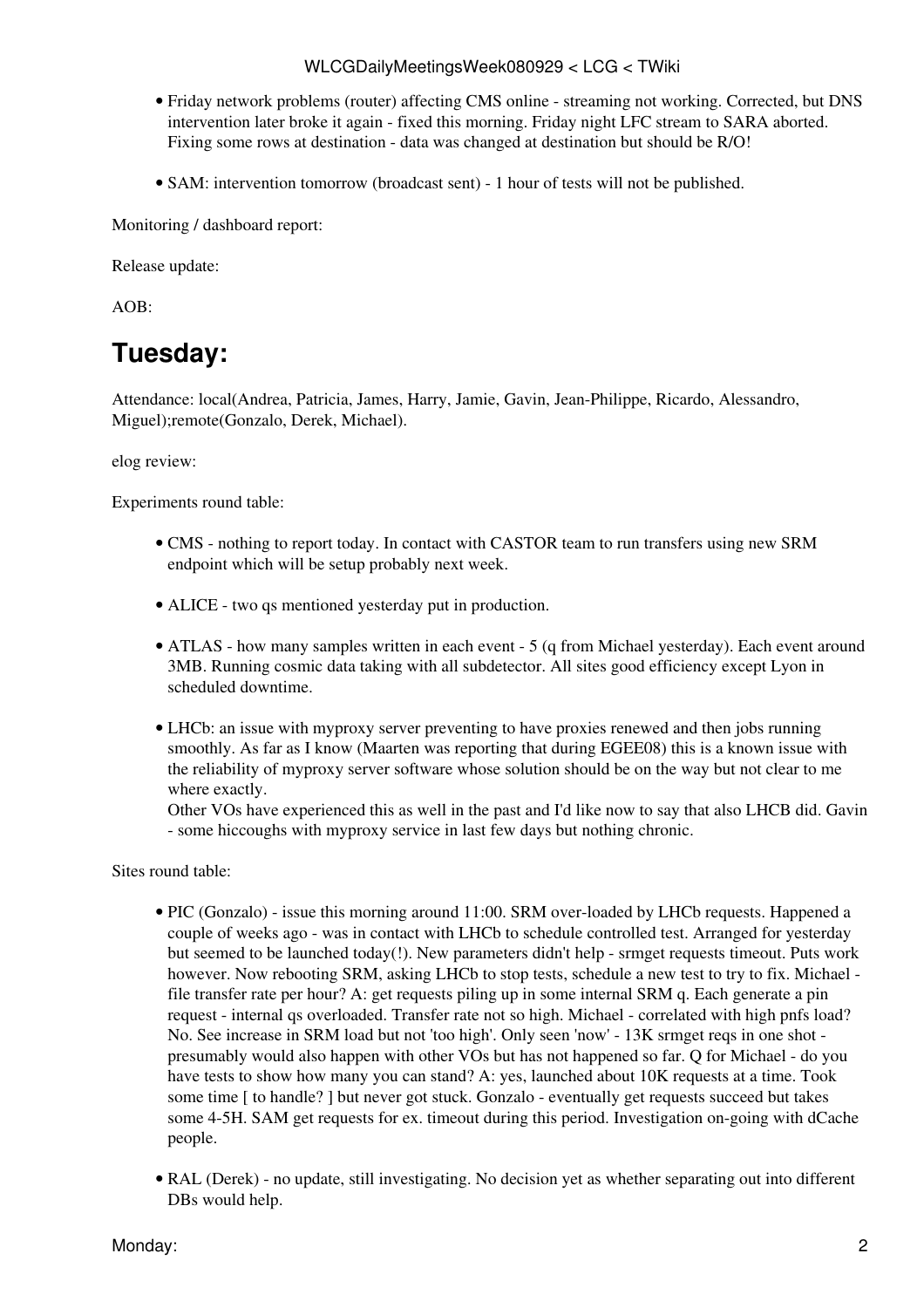- Friday network problems (router) affecting CMS online streaming not working. Corrected, but DNS intervention later broke it again - fixed this morning. Friday night LFC stream to SARA aborted. Fixing some rows at destination - data was changed at destination but should be R/O!
- SAM: intervention tomorrow (broadcast sent) 1 hour of tests will not be published.

Monitoring / dashboard report:

Release update:

AOB:

### <span id="page-2-0"></span>**Tuesday:**

Attendance: local(Andrea, Patricia, James, Harry, Jamie, Gavin, Jean-Philippe, Ricardo, Alessandro, Miguel);remote(Gonzalo, Derek, Michael).

#### elog review:

Experiments round table:

- CMS nothing to report today. In contact with CASTOR team to run transfers using new SRM endpoint which will be setup probably next week.
- ALICE two qs mentioned yesterday put in production.
- ATLAS how many samples written in each event 5 (q from Michael yesterday). Each event around 3MB. Running cosmic data taking with all subdetector. All sites good efficiency except Lyon in scheduled downtime.
- LHCb: an issue with myproxy server preventing to have proxies renewed and then jobs running smoothly. As far as I know (Maarten was reporting that during EGEE08) this is a known issue with the reliability of myproxy server software whose solution should be on the way but not clear to me where exactly.

Other VOs have experienced this as well in the past and I'd like now to say that also LHCB did. Gavin - some hiccoughs with myproxy service in last few days but nothing chronic.

Sites round table:

- PIC (Gonzalo) issue this morning around 11:00. SRM over-loaded by LHCb requests. Happened a couple of weeks ago - was in contact with LHCb to schedule controlled test. Arranged for yesterday but seemed to be launched today(!). New parameters didn't help - srmget requests timeout. Puts work however. Now rebooting SRM, asking LHCb to stop tests, schedule a new test to try to fix. Michael file transfer rate per hour? A: get requests piling up in some internal SRM q. Each generate a pin request - internal qs overloaded. Transfer rate not so high. Michael - correlated with high pnfs load? No. See increase in SRM load but not 'too high'. Only seen 'now' - 13K srmget reqs in one shot presumably would also happen with other VOs but has not happened so far. Q for Michael - do you have tests to show how many you can stand? A: yes, launched about 10K requests at a time. Took some time [ to handle? ] but never got stuck. Gonzalo - eventually get requests succeed but takes some 4-5H. SAM get requests for ex. timeout during this period. Investigation on-going with dCache people.
- [RAL](https://twiki.cern.ch/twiki/bin/view/LCG/RAL) (Derek) no update, still investigating. No decision yet as whether separating out into different DBs would help.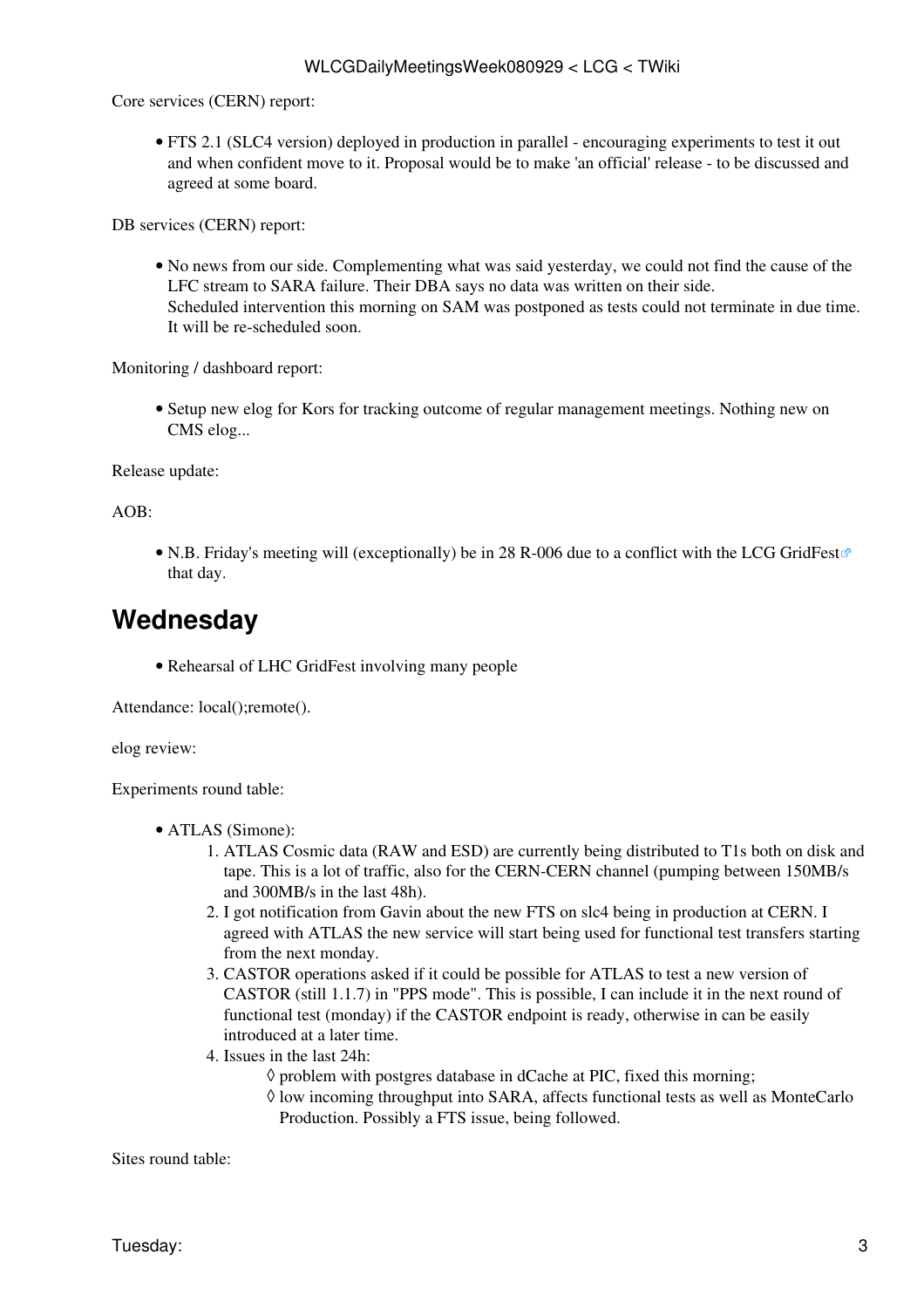Core services (CERN) report:

• FTS 2.1 (SLC4 version) deployed in production in parallel - encouraging experiments to test it out and when confident move to it. Proposal would be to make 'an official' release - to be discussed and agreed at some board.

DB services (CERN) report:

No news from our side. Complementing what was said yesterday, we could not find the cause of the • LFC stream to SARA failure. Their DBA says no data was written on their side. Scheduled intervention this morning on SAM was postponed as tests could not terminate in due time. It will be re-scheduled soon.

Monitoring / dashboard report:

• Setup new elog for Kors for tracking outcome of regular management meetings. Nothing new on CMS elog...

Release update:

 $AOB^+$ 

• N.B. Friday's meeting will (exceptionally) be in 28 R-006 due to a conflict with the [LCG GridFest](http://lcg.web.cern.ch/LCG/lhcgridfest/) that day.

### <span id="page-3-0"></span>**Wednesday**

• Rehearsal of LHC [GridFest](https://twiki.cern.ch/twiki/bin/edit/LCG/GridFest?topicparent=LCG.WLCGDailyMeetingsWeek080929;nowysiwyg=1) involving many people

Attendance: local();remote().

elog review:

Experiments round table:

- ATLAS (Simone):
	- ATLAS Cosmic data (RAW and ESD) are currently being distributed to T1s both on disk and 1. tape. This is a lot of traffic, also for the CERN-CERN channel (pumping between 150MB/s and 300MB/s in the last 48h).
	- 2. I got notification from Gavin about the new FTS on slc4 being in production at CERN. I agreed with ATLAS the new service will start being used for functional test transfers starting from the next monday.
	- CASTOR operations asked if it could be possible for ATLAS to test a new version of 3. CASTOR (still 1.1.7) in "PPS mode". This is possible, I can include it in the next round of functional test (monday) if the CASTOR endpoint is ready, otherwise in can be easily introduced at a later time.
	- 4. Issues in the last 24h:
		- $\Diamond$  problem with postgres database in dCache at PIC, fixed this morning;
		- ◊ low incoming throughput into SARA, affects functional tests as well as [MonteCarlo](https://twiki.cern.ch/twiki/bin/edit/LCG/MonteCarlo?topicparent=LCG.WLCGDailyMeetingsWeek080929;nowysiwyg=1) Production. Possibly a FTS issue, being followed.

Sites round table: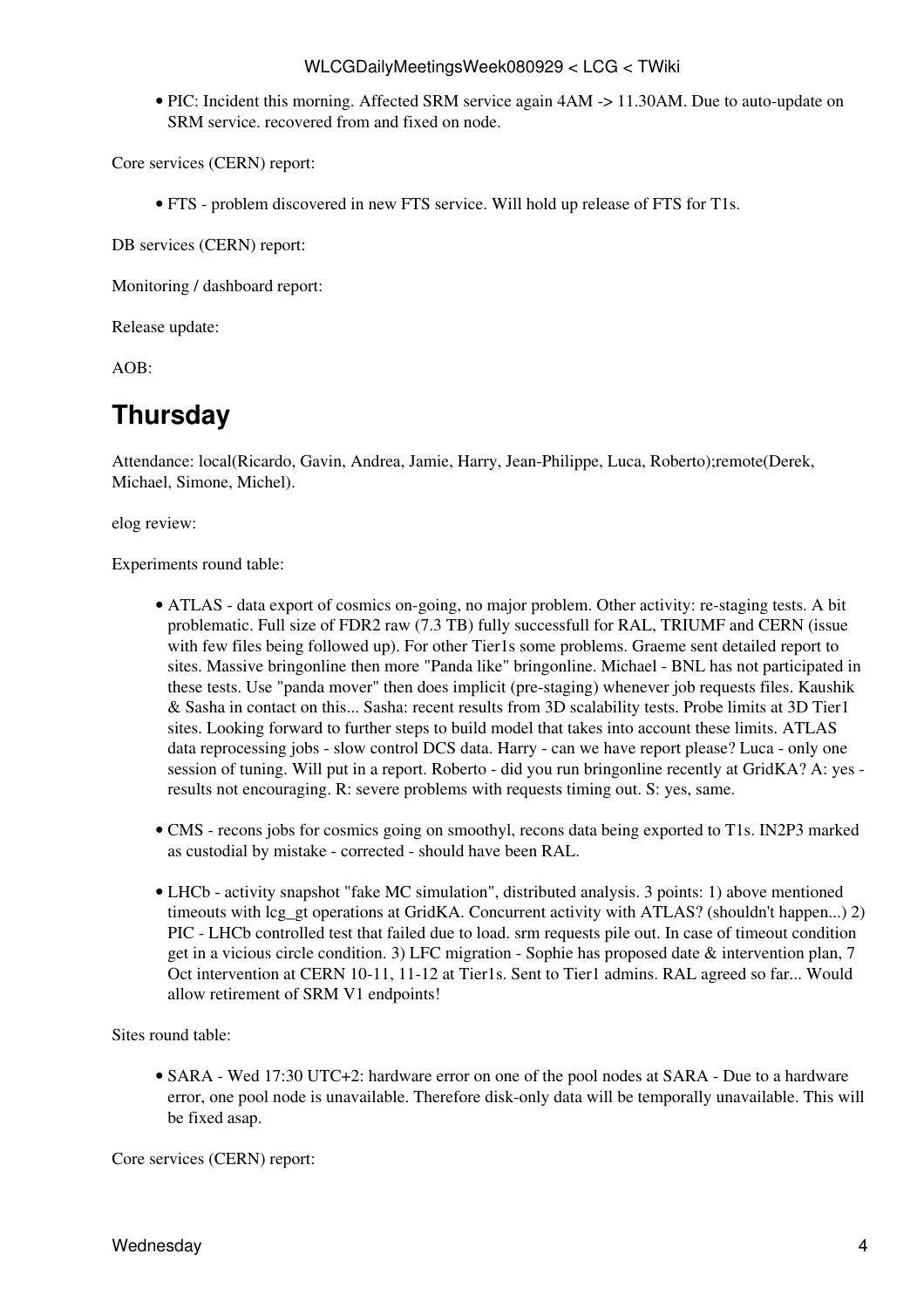#### WLCGDailyMeetingsWeek080929 < LCG < TWiki

• PIC: Incident this morning. Affected SRM service again 4AM -> 11.30AM. Due to auto-update on SRM service. recovered from and fixed on node.

Core services (CERN) report:

• FTS - problem discovered in new FTS service. Will hold up release of FTS for T1s.

DB services (CERN) report:

Monitoring / dashboard report:

Release update:

 $AOB<sup>2</sup>$ 

### <span id="page-4-0"></span>**Thursday**

Attendance: local(Ricardo, Gavin, Andrea, Jamie, Harry, Jean-Philippe, Luca, Roberto);remote(Derek, Michael, Simone, Michel).

elog review:

Experiments round table:

- ATLAS data export of cosmics on-going, no major problem. Other activity: re-staging tests. A bit problematic. Full size of FDR2 raw (7.3 TB) fully successfull for [RAL,](https://twiki.cern.ch/twiki/bin/view/LCG/RAL) TRIUMF and CERN (issue with few files being followed up). For other Tier1s some problems. Graeme sent detailed report to sites. Massive bringonline then more "Panda like" bringonline. Michael - BNL has not participated in these tests. Use "panda mover" then does implicit (pre-staging) whenever job requests files. Kaushik & Sasha in contact on this... Sasha: recent results from 3D scalability tests. Probe limits at 3D Tier1 sites. Looking forward to further steps to build model that takes into account these limits. ATLAS data reprocessing jobs - slow control DCS data. Harry - can we have report please? Luca - only one session of tuning. Will put in a report. Roberto - did you run bringonline recently at [GridKA](https://twiki.cern.ch/twiki/bin/edit/LCG/GridKA?topicparent=LCG.WLCGDailyMeetingsWeek080929;nowysiwyg=1)? A: yes results not encouraging. R: severe problems with requests timing out. S: yes, same.
- CMS recons jobs for cosmics going on smoothyl, recons data being exported to T1s. [IN2P3](https://twiki.cern.ch/twiki/bin/view/LCG/IN2P3) marked as custodial by mistake - corrected - should have been [RAL.](https://twiki.cern.ch/twiki/bin/view/LCG/RAL)
- LHCb activity snapshot "fake MC simulation", distributed analysis. 3 points: 1) above mentioned timeouts with lcg\_gt operations at [GridKA](https://twiki.cern.ch/twiki/bin/edit/LCG/GridKA?topicparent=LCG.WLCGDailyMeetingsWeek080929;nowysiwyg=1). Concurrent activity with ATLAS? (shouldn't happen...) 2) PIC - LHCb controlled test that failed due to load. srm requests pile out. In case of timeout condition get in a vicious circle condition. 3) LFC migration - Sophie has proposed date & intervention plan, 7 Oct intervention at CERN 10-11, 11-12 at Tier1s. Sent to Tier1 admins. [RAL](https://twiki.cern.ch/twiki/bin/view/LCG/RAL) agreed so far... Would allow retirement of SRM V1 endpoints!

Sites round table:

• SARA - Wed 17:30 UTC+2: hardware error on one of the pool nodes at SARA - Due to a hardware error, one pool node is unavailable. Therefore disk-only data will be temporally unavailable. This will be fixed asap.

Core services (CERN) report: